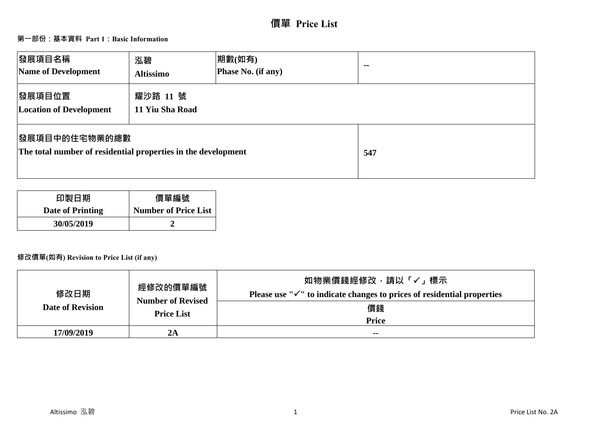# **價單 Price List**

### **第一部份:基本資料 Part 1:Basic Information**

| 發展項目名稱<br>Name of Development                                                          | 泓碧<br><b>Altissimo</b>      | 期數(如有)<br>Phase No. (if any) | $\sim$ $\sim$ |
|----------------------------------------------------------------------------------------|-----------------------------|------------------------------|---------------|
| 發展項目位置<br><b>Location of Development</b>                                               | 耀沙路 11 號<br>11 Yiu Sha Road |                              |               |
| <b> 發展項目中的住宅物業的總數</b><br>The total number of residential properties in the development |                             | 547                          |               |

| 印製日期             | 價單編號                        |
|------------------|-----------------------------|
| Date of Printing | <b>Number of Price List</b> |
| 30/05/2019       |                             |

### **修改價單(如有) Revision to Price List (if any)**

| 修改日期<br><b>Date of Revision</b> | 經修改的價單編號<br><b>Number of Revised</b><br><b>Price List</b> | 如物業價錢經修改,請以「✓」標示<br>Please use " $\checkmark$ " to indicate changes to prices of residential properties<br>價錢<br><b>Price</b> |
|---------------------------------|-----------------------------------------------------------|-------------------------------------------------------------------------------------------------------------------------------|
| 17/09/2019                      | 2A                                                        | $- -$                                                                                                                         |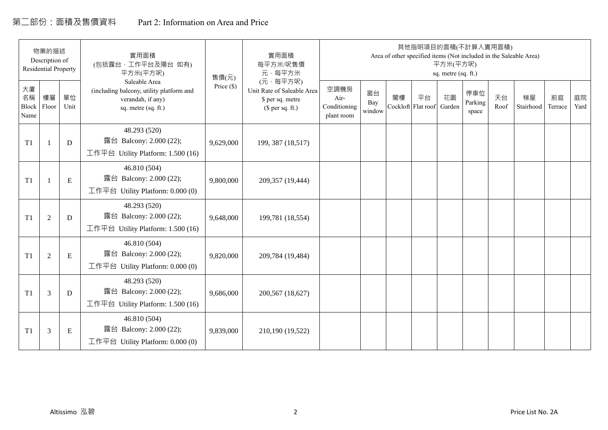# 第二部份:面積及售價資料 Part 2: Information on Area and Price

|                                  | 物業的描述<br>Description of<br><b>Residential Property</b> |            | 實用面積<br>(包括露台,工作平台及陽台 如有)<br>平方米(平方呎)                                                                 | 售價(元)        | 實用面積<br>每平方米/呎售價<br>元·每平方米                                                     |                                            |                     |    | 其他指明項目的面積(不計算入實用面積)<br>Area of other specified items (Not included in the Saleable Area) | 平方米(平方呎)<br>sq. metre (sq. ft.) |                         |            |                 |               |            |
|----------------------------------|--------------------------------------------------------|------------|-------------------------------------------------------------------------------------------------------|--------------|--------------------------------------------------------------------------------|--------------------------------------------|---------------------|----|------------------------------------------------------------------------------------------|---------------------------------|-------------------------|------------|-----------------|---------------|------------|
| 大廈<br>名稱<br><b>Block</b><br>Name | 樓層<br>Floor                                            | 單位<br>Unit | Saleable Area<br>(including balcony, utility platform and<br>verandah, if any)<br>sq. metre (sq. ft.) | Price $(\$)$ | (元·每平方呎)<br>Unit Rate of Saleable Area<br>\$ per sq. metre<br>$$$ per sq. ft.) | 空調機房<br>Air-<br>Conditioning<br>plant room | 窗台<br>Bay<br>window | 閣樓 | 平台<br>Cockloft Flat roof                                                                 | 花園<br>Garden                    | 停車位<br>Parking<br>space | 天台<br>Roof | 梯屋<br>Stairhood | 前庭<br>Terrace | 庭院<br>Yard |
| T1                               |                                                        | D          | 48.293 (520)<br>露台 Balcony: 2.000 (22);<br>工作平台 Utility Platform: 1.500 (16)                          | 9,629,000    | 199, 387 (18,517)                                                              |                                            |                     |    |                                                                                          |                                 |                         |            |                 |               |            |
| T1                               |                                                        | ${\bf E}$  | 46.810 (504)<br>露台 Balcony: 2.000 (22);<br>工作平台 Utility Platform: $0.000(0)$                          | 9,800,000    | 209,357 (19,444)                                                               |                                            |                     |    |                                                                                          |                                 |                         |            |                 |               |            |
| T1                               | $\mathfrak{2}$                                         | D          | 48.293 (520)<br>露台 Balcony: 2.000 (22);<br>工作平台 Utility Platform: 1.500 (16)                          | 9,648,000    | 199,781 (18,554)                                                               |                                            |                     |    |                                                                                          |                                 |                         |            |                 |               |            |
| T1                               | $\mathfrak{2}$                                         | ${\bf E}$  | 46.810 (504)<br>露台 Balcony: 2.000 (22);<br>工作平台 Utility Platform: 0.000 (0)                           | 9,820,000    | 209,784 (19,484)                                                               |                                            |                     |    |                                                                                          |                                 |                         |            |                 |               |            |
| T1                               | 3                                                      | D          | 48.293 (520)<br>露台 Balcony: 2.000 (22);<br>工作平台 Utility Platform: 1.500 (16)                          | 9,686,000    | 200,567 (18,627)                                                               |                                            |                     |    |                                                                                          |                                 |                         |            |                 |               |            |
| T1                               | 3                                                      | ${\bf E}$  | 46.810 (504)<br>露台 Balcony: 2.000 (22);<br>工作平台 Utility Platform: 0.000 (0)                           | 9,839,000    | 210,190 (19,522)                                                               |                                            |                     |    |                                                                                          |                                 |                         |            |                 |               |            |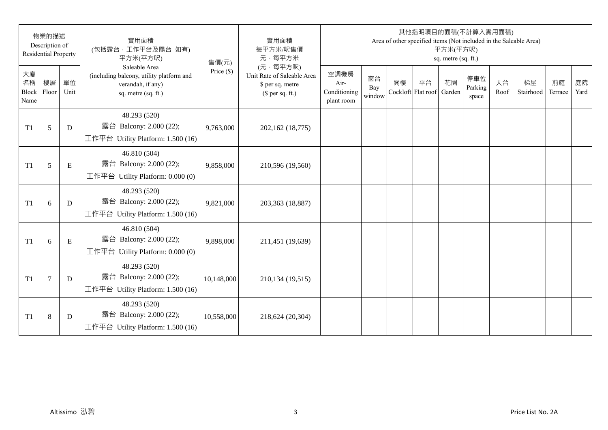|                           | 物業的描述<br>Description of<br><b>Residential Property</b> |            | 實用面積<br>(包括露台,工作平台及陽台 如有)<br>平方米(平方呎)                                                                 | 售價(元)        | 實用面積<br>每平方米/呎售價<br>元·每平方米                                                     |                                            |                     |    |                          | 平方米(平方呎)<br>sq. metre (sq. ft.) | 其他指明項目的面積(不計算入實用面積)     |            | Area of other specified items (Not included in the Saleable Area) |               |            |
|---------------------------|--------------------------------------------------------|------------|-------------------------------------------------------------------------------------------------------|--------------|--------------------------------------------------------------------------------|--------------------------------------------|---------------------|----|--------------------------|---------------------------------|-------------------------|------------|-------------------------------------------------------------------|---------------|------------|
| 大廈<br>名稱<br>Block<br>Name | 樓層<br>Floor                                            | 單位<br>Unit | Saleable Area<br>(including balcony, utility platform and<br>verandah, if any)<br>sq. metre (sq. ft.) | Price $(\$)$ | (元·每平方呎)<br>Unit Rate of Saleable Area<br>\$ per sq. metre<br>$$$ per sq. ft.) | 空調機房<br>Air-<br>Conditioning<br>plant room | 窗台<br>Bay<br>window | 閣樓 | 平台<br>Cockloft Flat roof | 花園<br>Garden                    | 停車位<br>Parking<br>space | 天台<br>Roof | 梯屋<br>Stairhood                                                   | 前庭<br>Terrace | 庭院<br>Yard |
| T <sub>1</sub>            | 5                                                      | D          | 48.293 (520)<br>露台 Balcony: 2.000 (22);<br>工作平台 Utility Platform: 1.500 (16)                          | 9,763,000    | 202,162 (18,775)                                                               |                                            |                     |    |                          |                                 |                         |            |                                                                   |               |            |
| T <sub>1</sub>            | 5                                                      | ${\bf E}$  | 46.810 (504)<br>露台 Balcony: 2.000 (22);<br>工作平台 Utility Platform: 0.000 (0)                           | 9,858,000    | 210,596 (19,560)                                                               |                                            |                     |    |                          |                                 |                         |            |                                                                   |               |            |
| T <sub>1</sub>            | 6                                                      | D          | 48.293 (520)<br>露台 Balcony: 2.000 (22);<br>工作平台 Utility Platform: 1.500 (16)                          | 9,821,000    | 203,363 (18,887)                                                               |                                            |                     |    |                          |                                 |                         |            |                                                                   |               |            |
| T <sub>1</sub>            | 6                                                      | ${\bf E}$  | 46.810 (504)<br>露台 Balcony: 2.000 (22);<br>工作平台 Utility Platform: 0.000 (0)                           | 9,898,000    | 211,451 (19,639)                                                               |                                            |                     |    |                          |                                 |                         |            |                                                                   |               |            |
| T <sub>1</sub>            | $\overline{7}$                                         | D          | 48.293 (520)<br>露台 Balcony: 2.000 (22);<br>工作平台 Utility Platform: $1.500(16)$                         | 10,148,000   | 210,134 (19,515)                                                               |                                            |                     |    |                          |                                 |                         |            |                                                                   |               |            |
| T <sub>1</sub>            | $8\,$                                                  | D          | 48.293 (520)<br>露台 Balcony: 2.000 (22);<br>工作平台 Utility Platform: 1.500 (16)                          | 10,558,000   | 218,624 (20,304)                                                               |                                            |                     |    |                          |                                 |                         |            |                                                                   |               |            |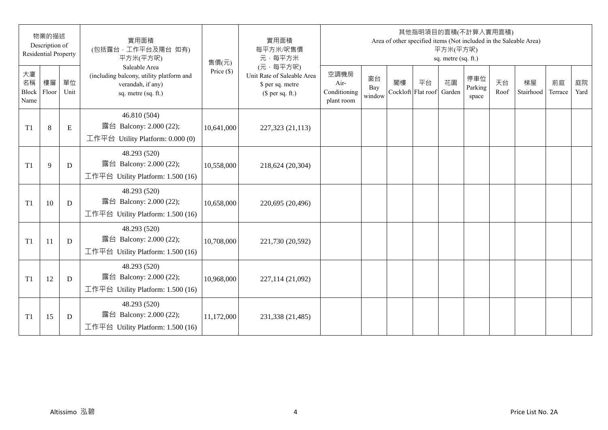|                           | 物業的描述<br>Description of<br><b>Residential Property</b> |            | 實用面積<br>(包括露台,工作平台及陽台 如有)<br>平方米(平方呎)                                                                 | 售價(元)        | 實用面積<br>每平方米/呎售價<br>元·每平方米                                                     |                                            |                     |                          |    | 平方米(平方呎)<br>sq. metre (sq. ft.) | 其他指明項目的面積(不計算入實用面積)     |            | Area of other specified items (Not included in the Saleable Area) |               |            |
|---------------------------|--------------------------------------------------------|------------|-------------------------------------------------------------------------------------------------------|--------------|--------------------------------------------------------------------------------|--------------------------------------------|---------------------|--------------------------|----|---------------------------------|-------------------------|------------|-------------------------------------------------------------------|---------------|------------|
| 大廈<br>名稱<br>Block<br>Name | 樓層<br>Floor                                            | 單位<br>Unit | Saleable Area<br>(including balcony, utility platform and<br>verandah, if any)<br>sq. metre (sq. ft.) | Price $(\$)$ | (元·每平方呎)<br>Unit Rate of Saleable Area<br>\$ per sq. metre<br>$$$ per sq. ft.) | 空調機房<br>Air-<br>Conditioning<br>plant room | 窗台<br>Bay<br>window | 閣樓<br>Cockloft Flat roof | 平台 | 花園<br>Garden                    | 停車位<br>Parking<br>space | 天台<br>Roof | 梯屋<br>Stairhood                                                   | 前庭<br>Terrace | 庭院<br>Yard |
| T <sub>1</sub>            | $8\,$                                                  | ${\bf E}$  | 46.810 (504)<br>露台 Balcony: 2.000 (22);<br>工作平台 Utility Platform: 0.000 (0)                           | 10,641,000   | 227,323 (21,113)                                                               |                                            |                     |                          |    |                                 |                         |            |                                                                   |               |            |
| T <sub>1</sub>            | 9                                                      | D          | 48.293 (520)<br>露台 Balcony: 2.000 (22);<br>工作平台 Utility Platform: 1.500 (16)                          | 10,558,000   | 218,624 (20,304)                                                               |                                            |                     |                          |    |                                 |                         |            |                                                                   |               |            |
| T1                        | 10                                                     | D          | 48.293 (520)<br>露台 Balcony: 2.000 (22);<br>工作平台 Utility Platform: 1.500 (16)                          | 10,658,000   | 220,695 (20,496)                                                               |                                            |                     |                          |    |                                 |                         |            |                                                                   |               |            |
| T <sub>1</sub>            | 11                                                     | D          | 48.293 (520)<br>露台 Balcony: 2.000 (22);<br>工作平台 Utility Platform: 1.500 (16)                          | 10,708,000   | 221,730 (20,592)                                                               |                                            |                     |                          |    |                                 |                         |            |                                                                   |               |            |
| T1                        | 12                                                     | D          | 48.293 (520)<br>露台 Balcony: 2.000 (22);<br>工作平台 Utility Platform: $1.500(16)$                         | 10,968,000   | 227,114 (21,092)                                                               |                                            |                     |                          |    |                                 |                         |            |                                                                   |               |            |
| T <sub>1</sub>            | 15                                                     | D          | 48.293 (520)<br>露台 Balcony: 2.000 (22);<br>工作平台 Utility Platform: 1.500 (16)                          | 11,172,000   | 231,338 (21,485)                                                               |                                            |                     |                          |    |                                 |                         |            |                                                                   |               |            |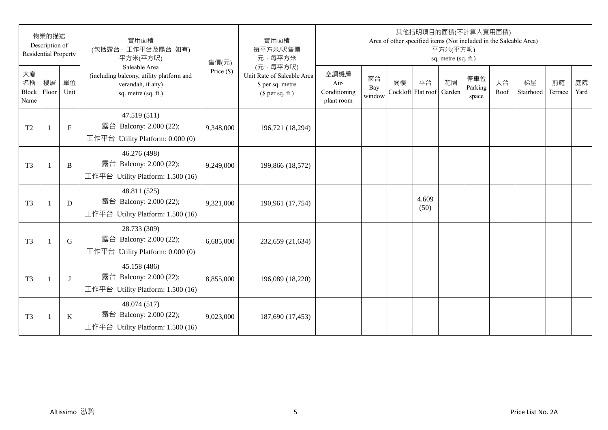|                           | 物業的描述<br>Description of<br><b>Residential Property</b> |             | 實用面積<br>(包括露台,工作平台及陽台 如有)<br>平方米(平方呎)                                                                 | 售價(元)        | 實用面積<br>每平方米/呎售價<br>元·每平方米                                                     |                                            |                     |    |                          | 平方米(平方呎)<br>sq. metre (sq. ft.) | 其他指明項目的面積(不計算入實用面積)<br>Area of other specified items (Not included in the Saleable Area) |            |                 |               |            |
|---------------------------|--------------------------------------------------------|-------------|-------------------------------------------------------------------------------------------------------|--------------|--------------------------------------------------------------------------------|--------------------------------------------|---------------------|----|--------------------------|---------------------------------|------------------------------------------------------------------------------------------|------------|-----------------|---------------|------------|
| 大廈<br>名稱<br>Block<br>Name | 樓層<br>Floor                                            | 單位<br>Unit  | Saleable Area<br>(including balcony, utility platform and<br>verandah, if any)<br>sq. metre (sq. ft.) | Price $(\$)$ | (元·每平方呎)<br>Unit Rate of Saleable Area<br>\$ per sq. metre<br>$$$ per sq. ft.) | 空調機房<br>Air-<br>Conditioning<br>plant room | 窗台<br>Bay<br>window | 閣樓 | 平台<br>Cockloft Flat roof | 花園<br>Garden                    | 停車位<br>Parking<br>space                                                                  | 天台<br>Roof | 梯屋<br>Stairhood | 前庭<br>Terrace | 庭院<br>Yard |
| T <sub>2</sub>            | -1                                                     | $\mathbf F$ | 47.519 (511)<br>露台 Balcony: 2.000 (22);<br>工作平台 Utility Platform: 0.000 (0)                           | 9,348,000    | 196,721 (18,294)                                                               |                                            |                     |    |                          |                                 |                                                                                          |            |                 |               |            |
| T <sub>3</sub>            | 1                                                      | $\bf{B}$    | 46.276 (498)<br>露台 Balcony: 2.000 (22);<br>工作平台 Utility Platform: 1.500 (16)                          | 9,249,000    | 199,866 (18,572)                                                               |                                            |                     |    |                          |                                 |                                                                                          |            |                 |               |            |
| T <sub>3</sub>            | -1                                                     | D           | 48.811 (525)<br>露台 Balcony: 2.000 (22);<br>工作平台 Utility Platform: $1.500(16)$                         | 9,321,000    | 190,961 (17,754)                                                               |                                            |                     |    | 4.609<br>(50)            |                                 |                                                                                          |            |                 |               |            |
| T <sub>3</sub>            | $\overline{1}$                                         | G           | 28.733 (309)<br>露台 Balcony: 2.000 (22);<br>工作平台 Utility Platform: 0.000 (0)                           | 6,685,000    | 232,659 (21,634)                                                               |                                            |                     |    |                          |                                 |                                                                                          |            |                 |               |            |
| T <sub>3</sub>            | -1                                                     | J           | 45.158 (486)<br>露台 Balcony: 2.000 (22);<br>工作平台 Utility Platform: 1.500 (16)                          | 8,855,000    | 196,089 (18,220)                                                               |                                            |                     |    |                          |                                 |                                                                                          |            |                 |               |            |
| T <sub>3</sub>            | 1                                                      | $\bf K$     | 48.074 (517)<br>露台 Balcony: 2.000 (22);<br>工作平台 Utility Platform: 1.500 (16)                          | 9,023,000    | 187,690 (17,453)                                                               |                                            |                     |    |                          |                                 |                                                                                          |            |                 |               |            |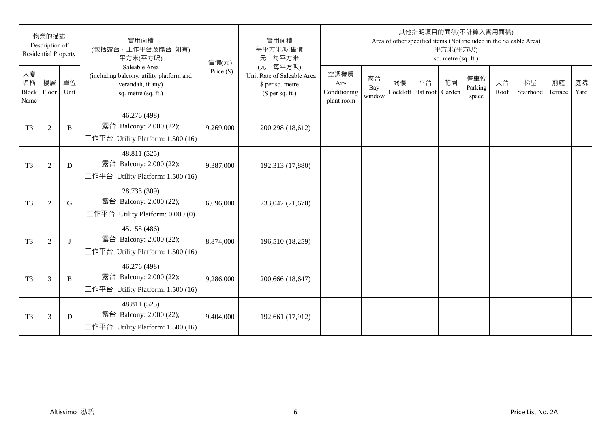|                           | 物業的描述<br>Description of<br><b>Residential Property</b> |            | 實用面積<br>(包括露台,工作平台及陽台 如有)<br>平方米(平方呎)                                                                 | 售價(元)        | 實用面積<br>每平方米/呎售價<br>元·每平方米                                                     |                                            |                     |                          | 其他指明項目的面積(不計算入實用面積) | 平方米(平方呎)<br>sq. metre (sq. ft.) |                         |            | Area of other specified items (Not included in the Saleable Area) |               |            |
|---------------------------|--------------------------------------------------------|------------|-------------------------------------------------------------------------------------------------------|--------------|--------------------------------------------------------------------------------|--------------------------------------------|---------------------|--------------------------|---------------------|---------------------------------|-------------------------|------------|-------------------------------------------------------------------|---------------|------------|
| 大廈<br>名稱<br>Block<br>Name | 樓層<br>Floor                                            | 單位<br>Unit | Saleable Area<br>(including balcony, utility platform and<br>verandah, if any)<br>sq. metre (sq. ft.) | Price $(\$)$ | (元·每平方呎)<br>Unit Rate of Saleable Area<br>\$ per sq. metre<br>$$$ per sq. ft.) | 空調機房<br>Air-<br>Conditioning<br>plant room | 窗台<br>Bay<br>window | 閣樓<br>Cockloft Flat roof | 平台                  | 花園<br>Garden                    | 停車位<br>Parking<br>space | 天台<br>Roof | 梯屋<br>Stairhood                                                   | 前庭<br>Terrace | 庭院<br>Yard |
| T <sub>3</sub>            | $\mathfrak{2}$                                         | B          | 46.276 (498)<br>露台 Balcony: 2.000 (22);<br>工作平台 Utility Platform: 1.500 (16)                          | 9,269,000    | 200,298 (18,612)                                                               |                                            |                     |                          |                     |                                 |                         |            |                                                                   |               |            |
| T <sub>3</sub>            | $\sqrt{2}$                                             | D          | 48.811 (525)<br>露台 Balcony: 2.000 (22);<br>工作平台 Utility Platform: $1.500(16)$                         | 9,387,000    | 192,313 (17,880)                                                               |                                            |                     |                          |                     |                                 |                         |            |                                                                   |               |            |
| T <sub>3</sub>            | $\mathfrak{2}$                                         | G          | 28.733 (309)<br>露台 Balcony: 2.000 (22);<br>工作平台 Utility Platform: 0.000 (0)                           | 6,696,000    | 233,042 (21,670)                                                               |                                            |                     |                          |                     |                                 |                         |            |                                                                   |               |            |
| T <sub>3</sub>            | $\mathfrak{2}$                                         | $\bf{J}$   | 45.158 (486)<br>露台 Balcony: 2.000 (22);<br>工作平台 Utility Platform: $1.500(16)$                         | 8,874,000    | 196,510 (18,259)                                                               |                                            |                     |                          |                     |                                 |                         |            |                                                                   |               |            |
| T <sub>3</sub>            | 3                                                      | B          | 46.276 (498)<br>露台 Balcony: 2.000 (22);<br>工作平台 Utility Platform: 1.500 (16)                          | 9,286,000    | 200,666 (18,647)                                                               |                                            |                     |                          |                     |                                 |                         |            |                                                                   |               |            |
| T <sub>3</sub>            | 3                                                      | D          | 48.811 (525)<br>露台 Balcony: 2.000 (22);<br>工作平台 Utility Platform: 1.500 (16)                          | 9,404,000    | 192,661 (17,912)                                                               |                                            |                     |                          |                     |                                 |                         |            |                                                                   |               |            |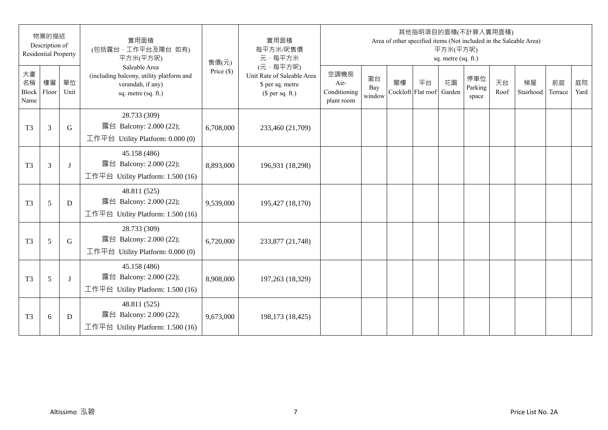|                           | 物業的描述<br>Description of<br><b>Residential Property</b> |            | 實用面積<br>(包括露台,工作平台及陽台 如有)<br>平方米(平方呎)                                                                 | 售價(元)        | 實用面積<br>每平方米/呎售價<br>元·每平方米                                                     |                                            |                     |                          | 其他指明項目的面積(不計算入實用面積) | 平方米(平方呎)<br>sq. metre (sq. ft.) |                         |            | Area of other specified items (Not included in the Saleable Area) |               |            |
|---------------------------|--------------------------------------------------------|------------|-------------------------------------------------------------------------------------------------------|--------------|--------------------------------------------------------------------------------|--------------------------------------------|---------------------|--------------------------|---------------------|---------------------------------|-------------------------|------------|-------------------------------------------------------------------|---------------|------------|
| 大廈<br>名稱<br>Block<br>Name | 樓層<br>Floor                                            | 單位<br>Unit | Saleable Area<br>(including balcony, utility platform and<br>verandah, if any)<br>sq. metre (sq. ft.) | Price $(\$)$ | (元·每平方呎)<br>Unit Rate of Saleable Area<br>\$ per sq. metre<br>$$$ per sq. ft.) | 空調機房<br>Air-<br>Conditioning<br>plant room | 窗台<br>Bay<br>window | 閣樓<br>Cockloft Flat roof | 平台                  | 花園<br>Garden                    | 停車位<br>Parking<br>space | 天台<br>Roof | 梯屋<br>Stairhood                                                   | 前庭<br>Terrace | 庭院<br>Yard |
| T <sub>3</sub>            | 3                                                      | G          | 28.733 (309)<br>露台 Balcony: 2.000 (22);<br>工作平台 Utility Platform: 0.000 (0)                           | 6,708,000    | 233,460 (21,709)                                                               |                                            |                     |                          |                     |                                 |                         |            |                                                                   |               |            |
| T <sub>3</sub>            | 3                                                      | $\bf{J}$   | 45.158 (486)<br>露台 Balcony: 2.000 (22);<br>工作平台 Utility Platform: $1.500(16)$                         | 8,893,000    | 196,931 (18,298)                                                               |                                            |                     |                          |                     |                                 |                         |            |                                                                   |               |            |
| T <sub>3</sub>            | 5                                                      | D          | 48.811 (525)<br>露台 Balcony: 2.000 (22);<br>工作平台 Utility Platform: 1.500 (16)                          | 9,539,000    | 195,427 (18,170)                                                               |                                            |                     |                          |                     |                                 |                         |            |                                                                   |               |            |
| T <sub>3</sub>            | 5                                                      | G          | 28.733 (309)<br>露台 Balcony: 2.000 (22);<br>工作平台 Utility Platform: 0.000 (0)                           | 6,720,000    | 233,877 (21,748)                                                               |                                            |                     |                          |                     |                                 |                         |            |                                                                   |               |            |
| T <sub>3</sub>            | 5                                                      | $\bf{J}$   | 45.158 (486)<br>露台 Balcony: 2.000 (22);<br>工作平台 Utility Platform: 1.500 (16)                          | 8,908,000    | 197,263 (18,329)                                                               |                                            |                     |                          |                     |                                 |                         |            |                                                                   |               |            |
| T <sub>3</sub>            | 6                                                      | D          | 48.811 (525)<br>露台 Balcony: 2.000 (22);<br>工作平台 Utility Platform: 1.500 (16)                          | 9,673,000    | 198,173 (18,425)                                                               |                                            |                     |                          |                     |                                 |                         |            |                                                                   |               |            |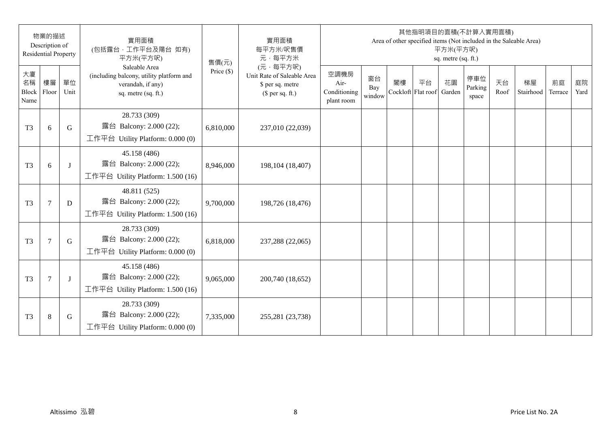|                           | 物業的描述<br>Description of<br><b>Residential Property</b> |             | 實用面積<br>(包括露台,工作平台及陽台 如有)<br>平方米(平方呎)                                                                 | 售價(元)        | 實用面積<br>每平方米/呎售價<br>元·每平方米                                                     |                                            |                     |                          |    | 平方米(平方呎)<br>sq. metre (sq. ft.) | 其他指明項目的面積(不計算入實用面積)     |            | Area of other specified items (Not included in the Saleable Area) |               |            |
|---------------------------|--------------------------------------------------------|-------------|-------------------------------------------------------------------------------------------------------|--------------|--------------------------------------------------------------------------------|--------------------------------------------|---------------------|--------------------------|----|---------------------------------|-------------------------|------------|-------------------------------------------------------------------|---------------|------------|
| 大廈<br>名稱<br>Block<br>Name | 樓層<br>Floor                                            | 單位<br>Unit  | Saleable Area<br>(including balcony, utility platform and<br>verandah, if any)<br>sq. metre (sq. ft.) | Price $(\$)$ | (元·每平方呎)<br>Unit Rate of Saleable Area<br>\$ per sq. metre<br>$$$ per sq. ft.) | 空調機房<br>Air-<br>Conditioning<br>plant room | 窗台<br>Bay<br>window | 閣樓<br>Cockloft Flat roof | 平台 | 花園<br>Garden                    | 停車位<br>Parking<br>space | 天台<br>Roof | 梯屋<br>Stairhood                                                   | 前庭<br>Terrace | 庭院<br>Yard |
| T <sub>3</sub>            | 6                                                      | G           | 28.733 (309)<br>露台 Balcony: 2.000 (22);<br>工作平台 Utility Platform: 0.000 (0)                           | 6,810,000    | 237,010 (22,039)                                                               |                                            |                     |                          |    |                                 |                         |            |                                                                   |               |            |
| T <sub>3</sub>            | 6                                                      | J           | 45.158 (486)<br>露台 Balcony: 2.000 (22);<br>工作平台 Utility Platform: 1.500 (16)                          | 8,946,000    | 198, 104 (18, 407)                                                             |                                            |                     |                          |    |                                 |                         |            |                                                                   |               |            |
| T <sub>3</sub>            | $\tau$                                                 | D           | 48.811 (525)<br>露台 Balcony: 2.000 (22);<br>工作平台 Utility Platform: 1.500 (16)                          | 9,700,000    | 198,726 (18,476)                                                               |                                            |                     |                          |    |                                 |                         |            |                                                                   |               |            |
| T <sub>3</sub>            | $\tau$                                                 | $\mathbf G$ | 28.733 (309)<br>露台 Balcony: 2.000 (22);<br>工作平台 Utility Platform: 0.000 (0)                           | 6,818,000    | 237,288 (22,065)                                                               |                                            |                     |                          |    |                                 |                         |            |                                                                   |               |            |
| T <sub>3</sub>            | $\overline{7}$                                         | J           | 45.158 (486)<br>露台 Balcony: 2.000 (22);<br>工作平台 Utility Platform: 1.500 (16)                          | 9,065,000    | 200,740 (18,652)                                                               |                                            |                     |                          |    |                                 |                         |            |                                                                   |               |            |
| T <sub>3</sub>            | $8\,$                                                  | G           | 28.733 (309)<br>露台 Balcony: 2.000 (22);<br>工作平台 Utility Platform: 0.000 (0)                           | 7,335,000    | 255,281 (23,738)                                                               |                                            |                     |                          |    |                                 |                         |            |                                                                   |               |            |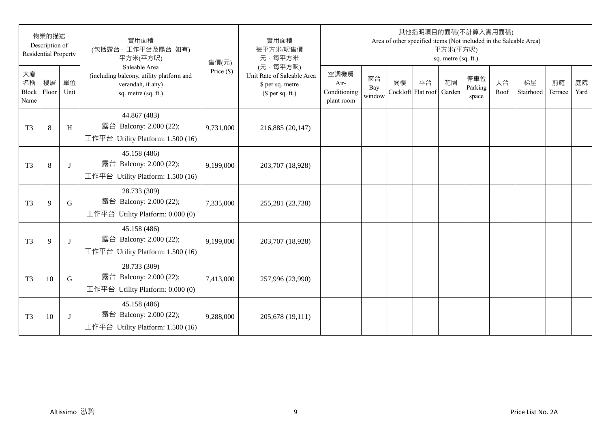|                           | 物業的描述<br>Description of<br><b>Residential Property</b> |            | 實用面積<br>(包括露台,工作平台及陽台 如有)<br>平方米(平方呎)                                                                 | 售價(元)        | 實用面積<br>每平方米/呎售價<br>元·每平方米                                                     |                                            |                     |    |                          | 平方米(平方呎)<br>sq. metre (sq. ft.) | 其他指明項目的面積(不計算入實用面積)     |            | Area of other specified items (Not included in the Saleable Area) |               |            |
|---------------------------|--------------------------------------------------------|------------|-------------------------------------------------------------------------------------------------------|--------------|--------------------------------------------------------------------------------|--------------------------------------------|---------------------|----|--------------------------|---------------------------------|-------------------------|------------|-------------------------------------------------------------------|---------------|------------|
| 大廈<br>名稱<br>Block<br>Name | 樓層<br>Floor                                            | 單位<br>Unit | Saleable Area<br>(including balcony, utility platform and<br>verandah, if any)<br>sq. metre (sq. ft.) | Price $(\$)$ | (元·每平方呎)<br>Unit Rate of Saleable Area<br>\$ per sq. metre<br>$$$ per sq. ft.) | 空調機房<br>Air-<br>Conditioning<br>plant room | 窗台<br>Bay<br>window | 閣樓 | 平台<br>Cockloft Flat roof | 花園<br>Garden                    | 停車位<br>Parking<br>space | 天台<br>Roof | 梯屋<br>Stairhood                                                   | 前庭<br>Terrace | 庭院<br>Yard |
| T <sub>3</sub>            | $8\,$                                                  | H          | 44.867 (483)<br>露台 Balcony: 2.000 (22);<br>工作平台 Utility Platform: 1.500 (16)                          | 9,731,000    | 216,885 (20,147)                                                               |                                            |                     |    |                          |                                 |                         |            |                                                                   |               |            |
| T <sub>3</sub>            | $\,8\,$                                                | J          | 45.158 (486)<br>露台 Balcony: 2.000 (22);<br>工作平台 Utility Platform: 1.500 (16)                          | 9,199,000    | 203,707 (18,928)                                                               |                                            |                     |    |                          |                                 |                         |            |                                                                   |               |            |
| T <sub>3</sub>            | 9                                                      | G          | 28.733 (309)<br>露台 Balcony: 2.000 (22);<br>工作平台 Utility Platform: 0.000 (0)                           | 7,335,000    | 255,281 (23,738)                                                               |                                            |                     |    |                          |                                 |                         |            |                                                                   |               |            |
| T <sub>3</sub>            | 9                                                      | J          | 45.158 (486)<br>露台 Balcony: 2.000 (22);<br>工作平台 Utility Platform: 1.500 (16)                          | 9,199,000    | 203,707 (18,928)                                                               |                                            |                     |    |                          |                                 |                         |            |                                                                   |               |            |
| T <sub>3</sub>            | 10                                                     | G          | 28.733 (309)<br>露台 Balcony: 2.000 (22);<br>工作平台 Utility Platform: $0.000(0)$                          | 7,413,000    | 257,996 (23,990)                                                               |                                            |                     |    |                          |                                 |                         |            |                                                                   |               |            |
| T <sub>3</sub>            | 10                                                     | J          | 45.158 (486)<br>露台 Balcony: 2.000 (22);<br>工作平台 Utility Platform: 1.500 (16)                          | 9,288,000    | 205,678 (19,111)                                                               |                                            |                     |    |                          |                                 |                         |            |                                                                   |               |            |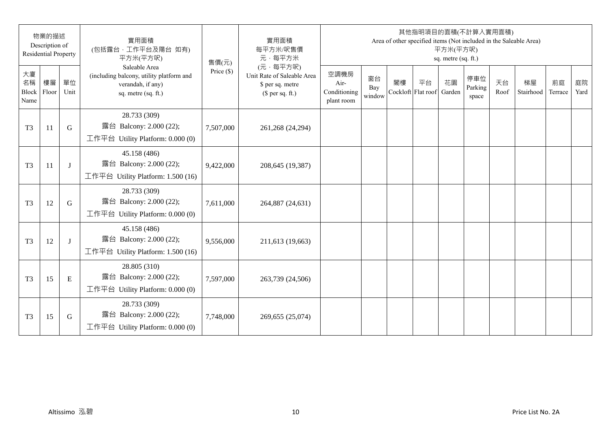|                           | 物業的描述<br>Description of<br><b>Residential Property</b> |             | 實用面積<br>(包括露台,工作平台及陽台 如有)<br>平方米(平方呎)                                                                 | 售價(元)        | 實用面積<br>每平方米/呎售價<br>元·每平方米                                                     |                                            |                     |                          |    | 平方米(平方呎)<br>sq. metre (sq. ft.) | 其他指明項目的面積(不計算入實用面積)     |            | Area of other specified items (Not included in the Saleable Area) |               |            |
|---------------------------|--------------------------------------------------------|-------------|-------------------------------------------------------------------------------------------------------|--------------|--------------------------------------------------------------------------------|--------------------------------------------|---------------------|--------------------------|----|---------------------------------|-------------------------|------------|-------------------------------------------------------------------|---------------|------------|
| 大廈<br>名稱<br>Block<br>Name | 樓層<br>Floor                                            | 單位<br>Unit  | Saleable Area<br>(including balcony, utility platform and<br>verandah, if any)<br>sq. metre (sq. ft.) | Price $(\$)$ | (元·每平方呎)<br>Unit Rate of Saleable Area<br>\$ per sq. metre<br>$$$ per sq. ft.) | 空調機房<br>Air-<br>Conditioning<br>plant room | 窗台<br>Bay<br>window | 閣樓<br>Cockloft Flat roof | 平台 | 花園<br>Garden                    | 停車位<br>Parking<br>space | 天台<br>Roof | 梯屋<br>Stairhood                                                   | 前庭<br>Terrace | 庭院<br>Yard |
| T <sub>3</sub>            | 11                                                     | $\mathbf G$ | 28.733 (309)<br>露台 Balcony: 2.000 (22);<br>工作平台 Utility Platform: 0.000 (0)                           | 7,507,000    | 261,268 (24,294)                                                               |                                            |                     |                          |    |                                 |                         |            |                                                                   |               |            |
| T <sub>3</sub>            | 11                                                     | J           | 45.158 (486)<br>露台 Balcony: 2.000 (22);<br>工作平台 Utility Platform: $1.500(16)$                         | 9,422,000    | 208,645 (19,387)                                                               |                                            |                     |                          |    |                                 |                         |            |                                                                   |               |            |
| T <sub>3</sub>            | 12                                                     | G           | 28.733 (309)<br>露台 Balcony: 2.000 (22);<br>工作平台 Utility Platform: $0.000(0)$                          | 7,611,000    | 264,887 (24,631)                                                               |                                            |                     |                          |    |                                 |                         |            |                                                                   |               |            |
| T <sub>3</sub>            | 12                                                     | J           | 45.158 (486)<br>露台 Balcony: 2.000 (22);<br>工作平台 Utility Platform: 1.500 (16)                          | 9,556,000    | 211,613 (19,663)                                                               |                                            |                     |                          |    |                                 |                         |            |                                                                   |               |            |
| T <sub>3</sub>            | 15                                                     | ${\bf E}$   | 28.805 (310)<br>露台 Balcony: 2.000 (22);<br>工作平台 Utility Platform: 0.000 (0)                           | 7,597,000    | 263,739 (24,506)                                                               |                                            |                     |                          |    |                                 |                         |            |                                                                   |               |            |
| T <sub>3</sub>            | 15                                                     | G           | 28.733 (309)<br>露台 Balcony: 2.000 (22);<br>工作平台 Utility Platform: 0.000 (0)                           | 7,748,000    | 269,655 (25,074)                                                               |                                            |                     |                          |    |                                 |                         |            |                                                                   |               |            |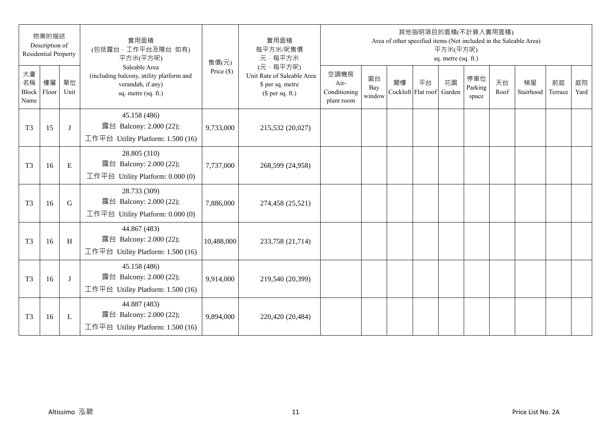| 物業的描述<br>Description of<br><b>Residential Property</b> |             | 實用面積<br>(包括露台,工作平台及陽台 如有)<br>平方米(平方呎) | 售價(元)                                                                                                 | 實用面積<br>每平方米/呎售價<br>元·每平方米 | 其他指明項目的面積(不計算入實用面積)<br>Area of other specified items (Not included in the Saleable Area)<br>平方米(平方呎)<br>sq. metre (sq. ft.) |                                            |                     |                          |    |              |                         |            |                 |               |            |
|--------------------------------------------------------|-------------|---------------------------------------|-------------------------------------------------------------------------------------------------------|----------------------------|-----------------------------------------------------------------------------------------------------------------------------|--------------------------------------------|---------------------|--------------------------|----|--------------|-------------------------|------------|-----------------|---------------|------------|
| 大廈<br>名稱<br>Block<br>Name                              | 樓層<br>Floor | 單位<br>Unit                            | Saleable Area<br>(including balcony, utility platform and<br>verandah, if any)<br>sq. metre (sq. ft.) | Price $(\$)$               | (元·每平方呎)<br>Unit Rate of Saleable Area<br>\$ per sq. metre<br>$$$ per sq. ft.)                                              | 空調機房<br>Air-<br>Conditioning<br>plant room | 窗台<br>Bay<br>window | 閣樓<br>Cockloft Flat roof | 平台 | 花園<br>Garden | 停車位<br>Parking<br>space | 天台<br>Roof | 梯屋<br>Stairhood | 前庭<br>Terrace | 庭院<br>Yard |
| T <sub>3</sub>                                         | 15          | J                                     | 45.158 (486)<br>露台 Balcony: 2.000 (22);<br>工作平台 Utility Platform: 1.500 (16)                          | 9,733,000                  | 215,532 (20,027)                                                                                                            |                                            |                     |                          |    |              |                         |            |                 |               |            |
| T <sub>3</sub>                                         | 16          | ${\bf E}$                             | 28.805 (310)<br>露台 Balcony: 2.000 (22);<br>工作平台 Utility Platform: 0.000 (0)                           | 7,737,000                  | 268,599 (24,958)                                                                                                            |                                            |                     |                          |    |              |                         |            |                 |               |            |
| T <sub>3</sub>                                         | 16          | G                                     | 28.733 (309)<br>露台 Balcony: 2.000 (22);<br>工作平台 Utility Platform: 0.000 (0)                           | 7,886,000                  | 274,458 (25,521)                                                                                                            |                                            |                     |                          |    |              |                         |            |                 |               |            |
| T <sub>3</sub>                                         | 16          | H                                     | 44.867 (483)<br>露台 Balcony: 2.000 (22);<br>工作平台 Utility Platform: 1.500 (16)                          | 10,488,000                 | 233,758 (21,714)                                                                                                            |                                            |                     |                          |    |              |                         |            |                 |               |            |
| T <sub>3</sub>                                         | 16          | J                                     | 45.158 (486)<br>露台 Balcony: 2.000 (22);<br>工作平台 Utility Platform: 1.500 (16)                          | 9,914,000                  | 219,540 (20,399)                                                                                                            |                                            |                     |                          |    |              |                         |            |                 |               |            |
| T <sub>3</sub>                                         | 16          | L                                     | 44.887 (483)<br>露台 Balcony: 2.000 (22);<br>工作平台 Utility Platform: 1.500 (16)                          | 9,894,000                  | 220,420 (20,484)                                                                                                            |                                            |                     |                          |    |              |                         |            |                 |               |            |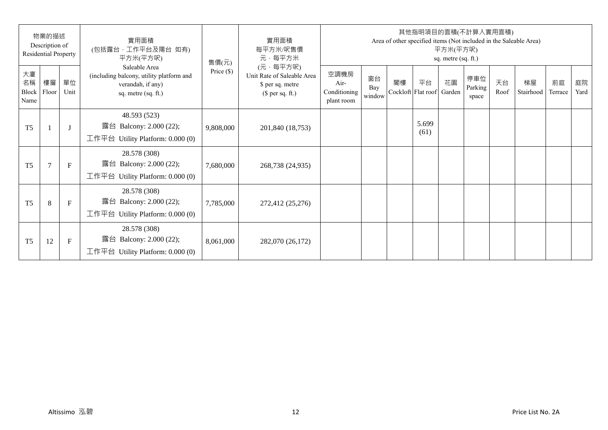| 物業的描述<br>Description of<br><b>Residential Property</b> |             | 實用面積<br>(包括露台,工作平台及陽台 如有)<br>平方米(平方呎) | 售價(元)                                                                                                 | 實用面積<br>每平方米/呎售價<br>元·每平方米 | 其他指明項目的面積(不計算入實用面積)<br>Area of other specified items (Not included in the Saleable Area)<br>平方米(平方呎)<br>sq. metre (sq. ft.) |                                            |                     |    |                                 |    |                         |            |                 |               |            |
|--------------------------------------------------------|-------------|---------------------------------------|-------------------------------------------------------------------------------------------------------|----------------------------|-----------------------------------------------------------------------------------------------------------------------------|--------------------------------------------|---------------------|----|---------------------------------|----|-------------------------|------------|-----------------|---------------|------------|
| 大廈<br>名稱<br>Block<br>Name                              | 樓層<br>Floor | 單位<br>Unit                            | Saleable Area<br>(including balcony, utility platform and<br>verandah, if any)<br>sq. metre (sq. ft.) | Price $(\$)$               | (元·每平方呎)<br>Unit Rate of Saleable Area<br>\$ per sq. metre<br>$$$ per sq. ft.)                                              | 空調機房<br>Air-<br>Conditioning<br>plant room | 窗台<br>Bay<br>window | 閣樓 | 平台<br>Cockloft Flat roof Garden | 花園 | 停車位<br>Parking<br>space | 天台<br>Roof | 梯屋<br>Stairhood | 前庭<br>Terrace | 庭院<br>Yard |
| T <sub>5</sub>                                         |             |                                       | 48.593 (523)<br>露台 Balcony: 2.000 (22);<br>工作平台 Utility Platform: 0.000 (0)                           | 9,808,000                  | 201,840 (18,753)                                                                                                            |                                            |                     |    | 5.699<br>(61)                   |    |                         |            |                 |               |            |
| T <sub>5</sub>                                         | $\tau$      | $\mathbf{F}$                          | 28.578 (308)<br>露台 Balcony: 2.000 (22);<br>工作平台 Utility Platform: 0.000 (0)                           | 7,680,000                  | 268,738 (24,935)                                                                                                            |                                            |                     |    |                                 |    |                         |            |                 |               |            |
| T <sub>5</sub>                                         | 8           | $\mathbf F$                           | 28.578 (308)<br>露台 Balcony: 2.000 (22);<br>工作平台 Utility Platform: $0.000(0)$                          | 7,785,000                  | 272,412 (25,276)                                                                                                            |                                            |                     |    |                                 |    |                         |            |                 |               |            |
| T <sub>5</sub>                                         | 12          | $\mathbf F$                           | 28.578 (308)<br>露台 Balcony: 2.000 (22);<br>工作平台 Utility Platform: $0.000(0)$                          | 8,061,000                  | 282,070 (26,172)                                                                                                            |                                            |                     |    |                                 |    |                         |            |                 |               |            |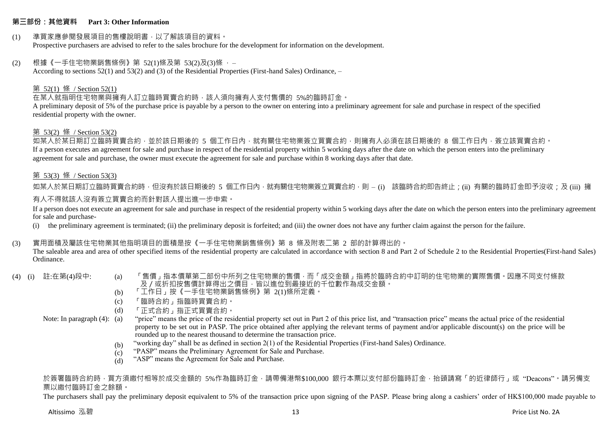#### **第三部份:其他資料 Part 3: Other Information**

#### (1) 準買家應參閱發展項目的售樓說明書,以了解該項目的資料。 Prospective purchasers are advised to refer to the sales brochure for the development for information on the development.

#### (2) 根據《一手住宅物業銷售條例》第 52(1)條及第 53(2)及(3)條 ,– According to sections 52(1) and 53(2) and (3) of the Residential Properties (First-hand Sales) Ordinance, –

### 第 52(1) 條 / Section 52(1)

### 在某人就指明住宅物業與擁有人訂立臨時買賣合約時,該人須向擁有人支付售價的 5%的臨時訂金。

A preliminary deposit of 5% of the purchase price is payable by a person to the owner on entering into a preliminary agreement for sale and purchase in respect of the specified residential property with the owner.

### 第 53(2) 條 / Section 53(2)

如某人於某日期訂立臨時買賣合約,並於該日期後的 5 個工作日內,就有關住宅物業簽立買賣合約,則擁有人必須在該日期後的 8 個工作日內,簽立該買賣合約。 If a person executes an agreement for sale and purchase in respect of the residential property within 5 working days after the date on which the person enters into the preliminary agreement for sale and purchase, the owner must execute the agreement for sale and purchase within 8 working days after that date.

#### 第 53(3) 條 / Section 53(3)

如某人於某日期訂立臨時買賣合約時,但沒有於該日期後的 5 個工作日內,就有關住宅物業簽立買賣合約,則 – (i) 該臨時合約即告終止;(ii) 有關的臨時訂金即予沒收;及 (iii) 擁

### 有人不得就該人沒有簽立買賣合約而針對該人提出進一步申索。

If a person does not execute an agreement for sale and purchase in respect of the residential property within 5 working days after the date on which the person enters into the preliminary agreement for sale and purchase-

(i) the preliminary agreement is terminated; (ii) the preliminary deposit is forfeited; and (iii) the owner does not have any further claim against the person for the failure.

### (3) 實用面積及屬該住宅物業其他指明項目的面積是按《一手住宅物業銷售條例》第 8 條及附表二第 2 部的計算得出的。

The saleable area and area of other specified items of the residential property are calculated in accordance with section 8 and Part 2 of Schedule 2 to the Residential Properties(First-hand Sales) Ordinance.

- 
- (4) (i) 註:在第(4)段中: (a) 「售價」指本價單第二部份中所列之住宅物業的售價,而「成交金額」指將於臨時合約中訂明的住宅物業的實際售價。因應不同支付條款 及 / 或折扣按售價計算得出之價目, 皆以進位到最接近的千位數作為成交金額。
	- (b) 「工作日」按《一手住宅物業銷售條例》第 2(1)條所定義。
	- (c) 「臨時合約」指臨時買賣合約。
	- (d) 「正式合約」指正式買賣合約。
	- Note: In paragraph (4): (a) "price" means the price of the residential property set out in Part 2 of this price list, and "transaction price" means the actual price of the residential property to be set out in PASP. The price obtained after applying the relevant terms of payment and/or applicable discount(s) on the price will be rounded up to the nearest thousand to determine the transaction price.
		- (b) "working day" shall be as defined in section 2(1) of the Residential Properties (First-hand Sales) Ordinance.
		- $(c)$ "PASP" means the Preliminary Agreement for Sale and Purchase.
		- (d) "ASP" means the Agreement for Sale and Purchase.

於簽署臨時合約時,買方須繳付相等於成交金額的 5%作為臨時訂金,請帶備港幣\$100,000 銀行本票以支付部份臨時訂金,抬頭請寫「的近律師行」或"Deacons"。請另備支 票以繳付臨時訂金之餘額。

The purchasers shall pay the preliminary deposit equivalent to 5% of the transaction price upon signing of the PASP. Please bring along a cashiers' order of HK\$100,000 made payable to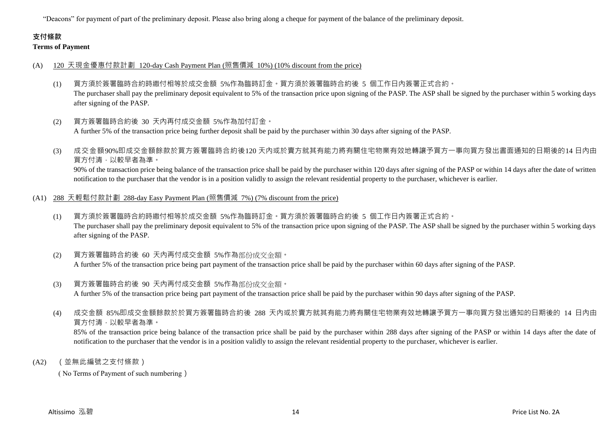"Deacons" for payment of part of the preliminary deposit. Please also bring along a cheque for payment of the balance of the preliminary deposit.

# **支付條款**

**Terms of Payment**

#### (A) 120 天現金優惠付款計劃 120-day Cash Payment Plan (照售價減 10%) (10% discount from the price)

- (1) 買方須於簽署臨時合約時繳付相等於成交金額 5%作為臨時訂金。買方須於簽署臨時合約後 5 個工作日內簽署正式合約。 The purchaser shall pay the preliminary deposit equivalent to 5% of the transaction price upon signing of the PASP. The ASP shall be signed by the purchaser within 5 working days after signing of the PASP.
- (2) 買方簽署臨時合約後 30 天內再付成交金額 5%作為加付訂金。 A further 5% of the transaction price being further deposit shall be paid by the purchaser within 30 days after signing of the PASP.
- (3) 成交金額90%即成交金額餘款於買方簽署臨時合約後120 天內或於賣方就其有能力將有關住宅物業有效地轉讓予買方一事向買方發出書面通知的日期後的14 日內由 買方付清,以較早者為準。

90% of the transaction price being balance of the transaction price shall be paid by the purchaser within 120 days after signing of the PASP or within 14 days after the date of written notification to the purchaser that the vendor is in a position validly to assign the relevant residential property to the purchaser, whichever is earlier.

#### (A1) 288 天輕鬆付款計劃 288-day Easy Payment Plan (照售價減 7%) (7% discount from the price)

- (1) 買方須於簽署臨時合約時繳付相等於成交金額 5%作為臨時訂金。買方須於簽署臨時合約後 5 個工作日內簽署正式合約。 The purchaser shall pay the preliminary deposit equivalent to 5% of the transaction price upon signing of the PASP. The ASP shall be signed by the purchaser within 5 working days after signing of the PASP.
- (2) 買方簽署臨時合約後 60 天內再付成交金額 5%作為部份成交金額。 A further 5% of the transaction price being part payment of the transaction price shall be paid by the purchaser within 60 days after signing of the PASP.
- (3) 買方簽署臨時合約後 90 天內再付成交金額 5%作為部份成交金額。 A further 5% of the transaction price being part payment of the transaction price shall be paid by the purchaser within 90 days after signing of the PASP.
- (4) 成交金額 85%即成交金額餘款於於買方簽署臨時合約後 288 天內或於賣方就其有能力將有關住宅物業有效地轉讓予買方一事向買方發出通知的日期後的 14 日內由 買方付清,以較早者為準。

85% of the transaction price being balance of the transaction price shall be paid by the purchaser within 288 days after signing of the PASP or within 14 days after the date of notification to the purchaser that the vendor is in a position validly to assign the relevant residential property to the purchaser, whichever is earlier.

(A2) (並無此編號之支付條款)

( No Terms of Payment of such numbering)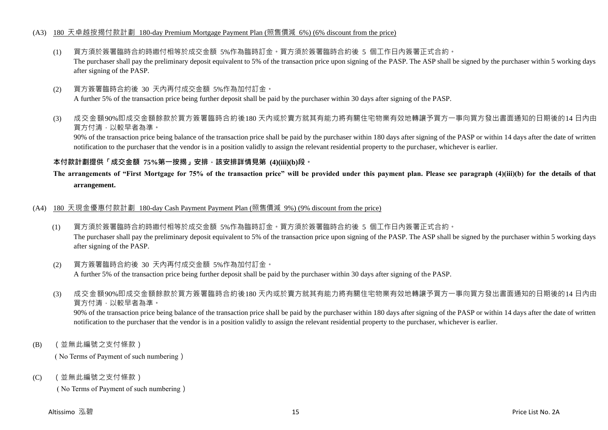#### (A3) 180 天卓越按揭付款計劃 180-day Premium Mortgage Payment Plan (照售價減 6%) (6% discount from the price)

- (1) 買方須於簽署臨時合約時繳付相等於成交金額 5%作為臨時訂金。買方須於簽署臨時合約後 5 個工作日內簽署正式合約。 The purchaser shall pay the preliminary deposit equivalent to 5% of the transaction price upon signing of the PASP. The ASP shall be signed by the purchaser within 5 working days after signing of the PASP.
- (2) 買方簽署臨時合約後 30 天內再付成交金額 5%作為加付訂金。 A further 5% of the transaction price being further deposit shall be paid by the purchaser within 30 days after signing of the PASP.
- (3) 成交金額90%即成交金額餘款於買方簽署臨時合約後180 天內或於賣方就其有能力將有關住宅物業有效地轉讓予買方一事向買方發出書面通知的日期後的14 日內由 買方付清,以較早者為準。

90% of the transaction price being balance of the transaction price shall be paid by the purchaser within 180 days after signing of the PASP or within 14 days after the date of written notification to the purchaser that the vendor is in a position validly to assign the relevant residential property to the purchaser, whichever is earlier.

#### **本付款計劃提供「成交金額 75%第一按揭」安排,該安排詳情見第 (4)(iii)(b)段。**

### **The arrangements of "First Mortgage for 75% of the transaction price" will be provided under this payment plan. Please see paragraph (4)(iii)(b) for the details of that arrangement.**

#### (A4) 180 天現金優惠付款計劃 180-day Cash Payment Payment Plan (照售價減 9%) (9% discount from the price)

(1) 買方須於簽署臨時合約時繳付相等於成交金額 5%作為臨時訂金。買方須於簽署臨時合約後 5 個工作日內簽署正式合約。 The purchaser shall pay the preliminary deposit equivalent to 5% of the transaction price upon signing of the PASP. The ASP shall be signed by the purchaser within 5 working days after signing of the PASP.

#### (2) 買方簽署臨時合約後 30 天內再付成交金額 5%作為加付訂金。 A further 5% of the transaction price being further deposit shall be paid by the purchaser within 30 days after signing of the PASP.

(3) 成交金額90%即成交金額餘款於買方簽署臨時合約後180 天內或於賣方就其有能力將有關住宅物業有效地轉讓予買方一事向買方發出書面通知的日期後的14 日內由 買方付清,以較早者為準。

90% of the transaction price being balance of the transaction price shall be paid by the purchaser within 180 days after signing of the PASP or within 14 days after the date of written notification to the purchaser that the vendor is in a position validly to assign the relevant residential property to the purchaser, whichever is earlier.

(B) (並無此編號之支付條款)

( No Terms of Payment of such numbering)

(C) (並無此編號之支付條款)

( No Terms of Payment of such numbering)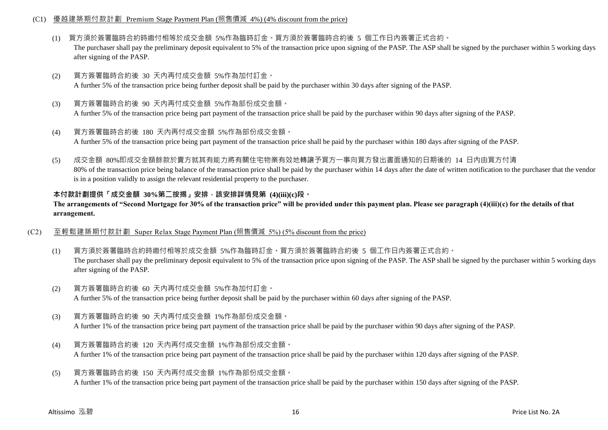#### (C1) 優越建築期付款計劃 Premium Stage Payment Plan (照售價減 4%) (4% discount from the price)

- (1) 買方須於簽署臨時合約時繳付相等於成交金額 5%作為臨時訂金。買方須於簽署臨時合約後 5 個工作日內簽署正式合約。 The purchaser shall pay the preliminary deposit equivalent to 5% of the transaction price upon signing of the PASP. The ASP shall be signed by the purchaser within 5 working days after signing of the PASP.
- (2) 買方簽署臨時合約後 30 天內再付成交金額 5%作為加付訂金。 A further 5% of the transaction price being further deposit shall be paid by the purchaser within 30 days after signing of the PASP.
- (3) 買方簽署臨時合約後 90 天內再付成交金額 5%作為部份成交金額。 A further 5% of the transaction price being part payment of the transaction price shall be paid by the purchaser within 90 days after signing of the PASP.
- (4) 買方簽署臨時合約後 180 天內再付成交金額 5%作為部份成交金額。 A further 5% of the transaction price being part payment of the transaction price shall be paid by the purchaser within 180 days after signing of the PASP.
- (5) 成交金額 80%即成交金額餘款於賣方就其有能力將有關住宅物業有效地轉讓予買方一事向買方發出書面通知的日期後的 14 日內由買方付清 80% of the transaction price being balance of the transaction price shall be paid by the purchaser within 14 days after the date of written notification to the purchaser that the vendor is in a position validly to assign the relevant residential property to the purchaser.

#### **本付款計劃提供「成交金額 30%第二按揭」安排,該安排詳情見第 (4)(iii)(c)段。**

**The arrangements of "Second Mortgage for 30% of the transaction price" will be provided under this payment plan. Please see paragraph (4)(iii)(c) for the details of that arrangement.**

- (C2) 至輕鬆建築期付款計劃 Super Relax Stage Payment Plan (照售價減 5%) (5% discount from the price)
	- (1) 買方須於簽署臨時合約時繳付相等於成交金額 5%作為臨時訂金。買方須於簽署臨時合約後 5 個工作日內簽署正式合約。 The purchaser shall pay the preliminary deposit equivalent to 5% of the transaction price upon signing of the PASP. The ASP shall be signed by the purchaser within 5 working days after signing of the PASP.
	- (2) 買方簽署臨時合約後 60 天內再付成交金額 5%作為加付訂金。 A further 5% of the transaction price being further deposit shall be paid by the purchaser within 60 days after signing of the PASP.
	- (3) 買方簽署臨時合約後 90 天內再付成交金額 1%作為部份成交金額。 A further 1% of the transaction price being part payment of the transaction price shall be paid by the purchaser within 90 days after signing of the PASP.
	- (4) 買方簽署臨時合約後 120 天內再付成交金額 1%作為部份成交金額。 A further 1% of the transaction price being part payment of the transaction price shall be paid by the purchaser within 120 days after signing of the PASP.
	- (5) 買方簽署臨時合約後 150 天內再付成交金額 1%作為部份成交金額。 A further 1% of the transaction price being part payment of the transaction price shall be paid by the purchaser within 150 days after signing of the PASP.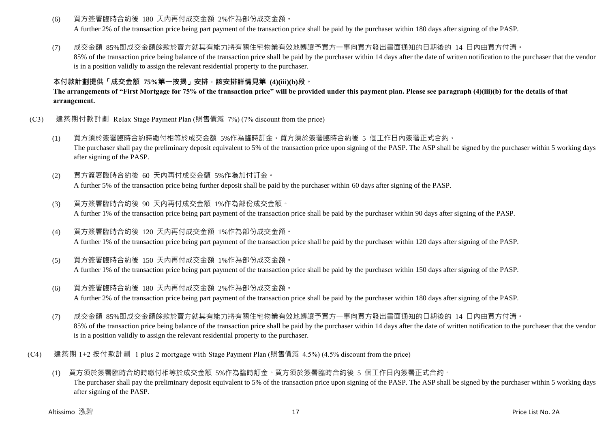(6) 買方簽署臨時合約後 180 天內再付成交金額 2%作為部份成交金額。

A further 2% of the transaction price being part payment of the transaction price shall be paid by the purchaser within 180 days after signing of the PASP.

(7) 成交金額 85%即成交金額餘款於賣方就其有能力將有關住宅物業有效地轉讓予買方一事向買方發出書面通知的日期後的 14 日內由買方付清。

85% of the transaction price being balance of the transaction price shall be paid by the purchaser within 14 days after the date of written notification to the purchaser that the vendor is in a position validly to assign the relevant residential property to the purchaser.

### **本付款計劃提供「成交金額 75%第一按揭」安排,該安排詳情見第 (4)(iii)(b)段。**

**The arrangements of "First Mortgage for 75% of the transaction price" will be provided under this payment plan. Please see paragraph (4)(iii)(b) for the details of that arrangement.**

- (C3) 建築期付款計劃 Relax Stage Payment Plan (照售價減 7%) (7% discount from the price)
	- (1) 買方須於簽署臨時合約時繳付相等於成交金額 5%作為臨時訂金。買方須於簽署臨時合約後 5 個工作日內簽署正式合約。 The purchaser shall pay the preliminary deposit equivalent to 5% of the transaction price upon signing of the PASP. The ASP shall be signed by the purchaser within 5 working days after signing of the PASP.
	- (2) 買方簽署臨時合約後 60 天內再付成交金額 5%作為加付訂金。 A further 5% of the transaction price being further deposit shall be paid by the purchaser within 60 days after signing of the PASP.
	- (3) 買方簽署臨時合約後 90 天內再付成交金額 1%作為部份成交金額。 A further 1% of the transaction price being part payment of the transaction price shall be paid by the purchaser within 90 days after signing of the PASP.
	- (4) 買方簽署臨時合約後 120 天內再付成交金額 1%作為部份成交金額。 A further 1% of the transaction price being part payment of the transaction price shall be paid by the purchaser within 120 days after signing of the PASP.
	- (5) 買方簽署臨時合約後 150 天內再付成交金額 1%作為部份成交金額。 A further 1% of the transaction price being part payment of the transaction price shall be paid by the purchaser within 150 days after signing of the PASP.
	- (6) 買方簽署臨時合約後 180 天內再付成交金額 2%作為部份成交金額。 A further 2% of the transaction price being part payment of the transaction price shall be paid by the purchaser within 180 days after signing of the PASP.
	- (7) 成交金額 85%即成交金額餘款於賣方就其有能力將有關住宅物業有效地轉讓予買方一事向買方發出書面通知的日期後的 14 日內由買方付清。 85% of the transaction price being balance of the transaction price shall be paid by the purchaser within 14 days after the date of written notification to the purchaser that the vendor is in a position validly to assign the relevant residential property to the purchaser.
- (C4) 建築期 1+2 按付款計劃 1 plus 2 mortgage with Stage Payment Plan (照售價減 4.5%) (4.5% discount from the price)
	- (1) 買方須於簽署臨時合約時繳付相等於成交金額 5%作為臨時訂金。買方須於簽署臨時合約後 5 個工作日內簽署正式合約。 The purchaser shall pay the preliminary deposit equivalent to 5% of the transaction price upon signing of the PASP. The ASP shall be signed by the purchaser within 5 working days after signing of the PASP.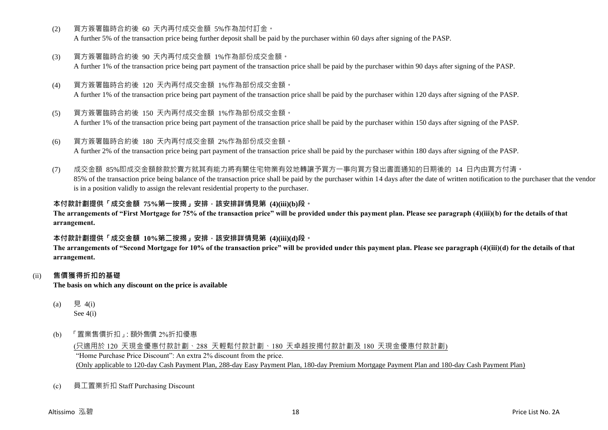(2) 買方簽署臨時合約後 60 天內再付成交金額 5%作為加付訂金。

A further 5% of the transaction price being further deposit shall be paid by the purchaser within 60 days after signing of the PASP.

(3) 買方簽署臨時合約後 90 天內再付成交金額 1%作為部份成交金額。

A further 1% of the transaction price being part payment of the transaction price shall be paid by the purchaser within 90 days after signing of the PASP.

- (4) 買方簽署臨時合約後 120 天內再付成交金額 1%作為部份成交金額。 A further 1% of the transaction price being part payment of the transaction price shall be paid by the purchaser within 120 days after signing of the PASP.
- (5) 買方簽署臨時合約後 150 天內再付成交金額 1%作為部份成交金額。

A further 1% of the transaction price being part payment of the transaction price shall be paid by the purchaser within 150 days after signing of the PASP.

(6) 買方簽署臨時合約後 180 天內再付成交金額 2%作為部份成交金額。 A further 2% of the transaction price being part payment of the transaction price shall be paid by the purchaser within 180 days after signing of the PASP.

(7) 成交金額 85%即成交金額餘款於賣方就其有能力將有關住宅物業有效地轉讓予買方一事向買方發出書面通知的日期後的 14 日內由買方付清。 85% of the transaction price being balance of the transaction price shall be paid by the purchaser within 14 days after the date of written notification to the purchaser that the vendor is in a position validly to assign the relevant residential property to the purchaser.

### **本付款計劃提供「成交金額 75%第一按揭」安排,該安排詳情見第 (4)(iii)(b)段。**

**The arrangements of "First Mortgage for 75% of the transaction price" will be provided under this payment plan. Please see paragraph (4)(iii)(b) for the details of that arrangement.**

#### **本付款計劃提供「成交金額 10%第二按揭」安排,該安排詳情見第 (4)(iii)(d)段。**

**The arrangements of "Second Mortgage for 10% of the transaction price" will be provided under this payment plan. Please see paragraph (4)(iii)(d) for the details of that arrangement.**

#### (ii) **售價獲得折扣的基礎**

**The basis on which any discount on the price is available**

- (a) 見 4(i) See 4(i)
- (b) 「置業售價折扣」:額外售價 2%折扣優惠

(只適用於 120 天現金優惠付款計劃、288 天輕鬆付款計劃、180 天卓越按揭付款計劃及 180 天現金優惠付款計劃) "Home Purchase Price Discount": An extra 2% discount from the price. (Only applicable to 120-day Cash Payment Plan, 288-day Easy Payment Plan, 180-day Premium Mortgage Payment Plan and 180-day Cash Payment Plan)

(c) 員工置業折扣 Staff Purchasing Discount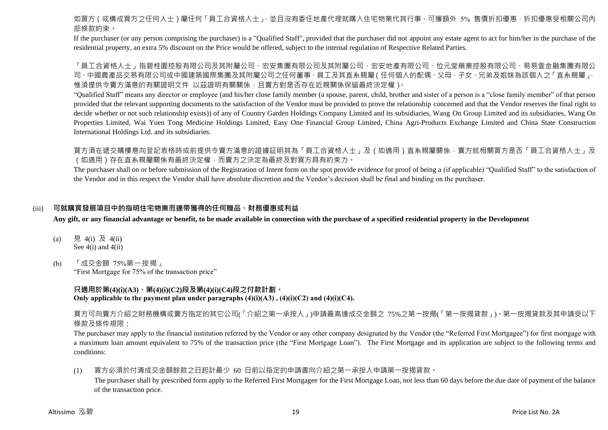如買方(或構成買方之任何人士)屬任何「員工合資格人士」,並且沒有委任地產代理就購入住宅物業代其行事,可獲額外 5% 售價折扣優惠,折扣優惠受相關公司內 部條款約束。

If the purchaser (or any person comprising the purchaser) is a "Qualified Staff", provided that the purchaser did not appoint any estate agent to act for him/her in the purchase of the residential property, an extra 5% discount on the Price would be offered, subject to the internal regulation of Respective Related Parties.

「員工合資格人士」指碧桂園控股有限公司及其附屬公司、宏安集團有限公司及其附屬公司、宏安地產有限公司、位元堂藥業控股有限公司、易易壹金融集團有限公 司、中國農產品交易有限公司或中國建築國際集團及其附屬公司之任何董事、員工及其直系親屬(任何個人的配偶、父母、子女、兄弟及姐妹為該個人之「直系親屬」, 惟須提供令賣方滿意的有關證明文件 以茲證明有關關係,且賣方對是否存在近親關係保留最終決定權)。

"Qualified Staff" means any director or employee (and his/her close family member (a spouse, parent, child, brother and sister of a person is a "close family member" of that person provided that the relevant supporting documents to the satisfaction of the Vendor must be provided to prove the relationship concerned and that the Vendor reserves the final right to decide whether or not such relationship exists)) of any of Country Garden Holdings Company Limited and its subsidiaries, Wang On Group Limited and its subsidiaries, Wang On Properties Limited, Wai Yuen Tong Medicine Holdings Limited, Easy One Financial Group Limited, China Agri-Products Exchange Limited and China State Construction International Holdings Ltd. and its subsidiaries.

買方須在遞交購樓意向登記表格時或前提供令賣方滿意的證據証明其為「員工合資格人士」及(如適用)直系親屬關係,賣方就相關買方是否「員工合資格人士」及 (如適用)存在直系親屬關係有最終決定權,而賣方之決定為最終及對買方具有約束力。

The purchaser shall on or before submission of the Registration of Intent form on the spot provide evidence for proof of being a (if applicable) "Qualified Staff" to the satisfaction of the Vendor and in this respect the Vendor shall have absolute discretion and the Vendor's decision shall be final and binding on the purchaser.

#### (iii) **可就購買發展項目中的指明住宅物業而連帶獲得的任何贈品、財務優惠或利益**

**Any gift, or any financial advantage or benefit, to be made available in connection with the purchase of a specified residential property in the Development**

- (a) 見 4(i) 及 4(ii) See 4(i) and 4(ii)
- (b) 「成交金額 75%第一按揭」 "First Mortgage for 75% of the transaction price"

**只適用於第(4)(i)(A3)、第(4)(i)(C2)段及第(4)(i)(C4)段之付款計劃。 Only applicable to the payment plan under paragraphs (4)(i)(A3) , (4)(i)(C2) and (4)(i)(C4).**

買方可向賣方介紹之財務機構或賣方指定的其它公司(「介紹之第一承按人」)申請最高達成交金額之 75%之第一按揭(「第一按揭貸款」)。第一按揭貸款及其申請受以下 條款及條件規限:

The purchaser may apply to the financial institution referred by the Vendor or any other company designated by the Vendor (the "Referred First Mortgagee") for first mortgage with a maximum loan amount equivalent to 75% of the transaction price (the "First Mortgage Loan"). The First Mortgage and its application are subject to the following terms and conditions:

(1) 買方必須於付清成交金額餘款之日起計最少 60 日前以指定的申請書向介紹之第一承按人申請第一按揭貸款。

The purchaser shall by prescribed form apply to the Referred First Mortgagee for the First Mortgage Loan, not less than 60 days before the due date of payment of the balance of the transaction price.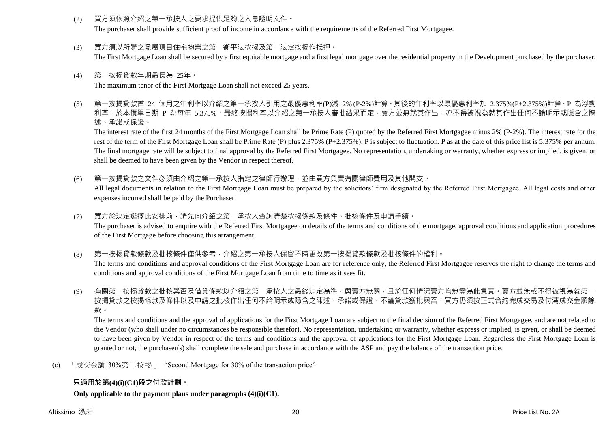- (2) 買方須依照介紹之第一承按人之要求提供足夠之入息證明文件。 The purchaser shall provide sufficient proof of income in accordance with the requirements of the Referred First Mortgagee.
- (3) 買方須以所購之發展項目住宅物業之第一衡平法按揭及第一法定按揭作抵押。 The First Mortgage Loan shall be secured by a first equitable mortgage and a first legal mortgage over the residential property in the Development purchased by the purchaser.
- (4) 第一按揭貸款年期最長為 25年。 The maximum tenor of the First Mortgage Loan shall not exceed 25 years.
- (5) 第一按揭貸款首 24 個月之年利率以介紹之第一承按人引用之最優惠利率(P)減 2% (P-2%)計算。其後的年利率以最優惠利率加 2.375%(P+2.375%)計算。P 為浮動 利率,於本價單日期 P 為每年 5.375%。最終按揭利率以介紹之第一承按人審批結果而定,賣方並無就其作出,亦不得被視為就其作出任何不論明示或隱含之陳 述、承諾或保證。

The interest rate of the first 24 months of the First Mortgage Loan shall be Prime Rate (P) quoted by the Referred First Mortgagee minus 2% (P-2%). The interest rate for the rest of the term of the First Mortgage Loan shall be Prime Rate (P) plus 2.375% (P+2.375%). P is subject to fluctuation. P as at the date of this price list is 5.375% per annum. The final mortgage rate will be subject to final approval by the Referred First Mortgagee. No representation, undertaking or warranty, whether express or implied, is given, or shall be deemed to have been given by the Vendor in respect thereof.

(6) 第一按揭貸款之文件必須由介紹之第一承按人指定之律師行辦理,並由買方負責有關律師費用及其他開支。 All legal documents in relation to the First Mortgage Loan must be prepared by the solicitors' firm designated by the Referred First Mortgagee. All legal costs and other

expenses incurred shall be paid by the Purchaser.

- (7) 買方於決定選擇此安排前,請先向介紹之第一承按人查詢清楚按揭條款及條件、批核條件及申請手續。 The purchaser is advised to enquire with the Referred First Mortgagee on details of the terms and conditions of the mortgage, approval conditions and application procedures of the First Mortgage before choosing this arrangement.
- (8) 第一按揭貸款條款及批核條件僅供參考,介紹之第一承按人保留不時更改第一按揭貸款條款及批核條件的權利。 The terms and conditions and approval conditions of the First Mortgage Loan are for reference only, the Referred First Mortgagee reserves the right to change the terms and conditions and approval conditions of the First Mortgage Loan from time to time as it sees fit.
- (9) 有關第一按揭貸款之批核與否及借貸條款以介紹之第一承按人之最終決定為準,與賣方無關,且於任何情況賣方均無需為此負責。賣方並無或不得被視為就第一 按揭貸款之按揭條款及條件以及申請之批核作出任何不論明示或隱含之陳述、承諾或保證。不論貸款獲批與否,買方仍須按正式合約完成交易及付清成交金額餘 款。

The terms and conditions and the approval of applications for the First Mortgage Loan are subject to the final decision of the Referred First Mortgagee, and are not related to the Vendor (who shall under no circumstances be responsible therefor). No representation, undertaking or warranty, whether express or implied, is given, or shall be deemed to have been given by Vendor in respect of the terms and conditions and the approval of applications for the First Mortgage Loan. Regardless the First Mortgage Loan is granted or not, the purchaser(s) shall complete the sale and purchase in accordance with the ASP and pay the balance of the transaction price.

(c) 「成交金額 30%第二按揭」 "Second Mortgage for 30% of the transaction price"

### **只適用於第(4)(i)(C1)段之付款計劃。**

**Only applicable to the payment plans under paragraphs (4)(i)(C1).**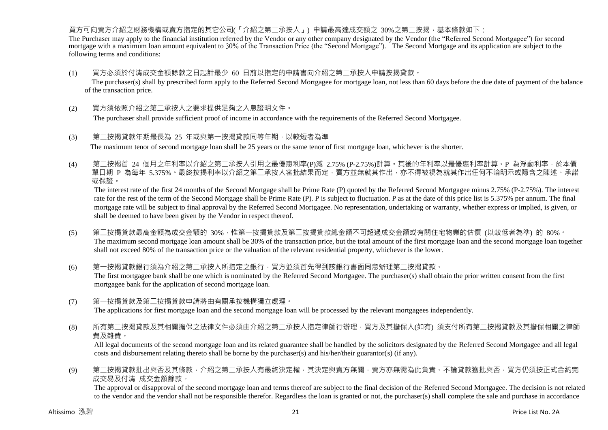#### 買方可向賣方介紹之財務機構或賣方指定的其它公司(「介紹之第二承按人」) 申請最高達成交額之 30%之第二按揭,基本條款如下:

The Purchaser may apply to the financial institution referred by the Vendor or any other company designated by the Vendor (the "Referred Second Mortgagee") for second mortgage with a maximum loan amount equivalent to 30% of the Transaction Price (the "Second Mortgage"). The Second Mortgage and its application are subject to the following terms and conditions:

- (1) 買方必須於付清成交金額餘款之日起計最少 60 日前以指定的申請書向介紹之第二承按人申請按揭貸款。 The purchaser(s) shall by prescribed form apply to the Referred Second Mortgagee for mortgage loan, not less than 60 days before the due date of payment of the balance of the transaction price.
- (2) 買方須依照介紹之第二承按人之要求提供足夠之入息證明文件。

The purchaser shall provide sufficient proof of income in accordance with the requirements of the Referred Second Mortgagee.

- (3) 第二按揭貸款年期最長為 25 年或與第一按揭貸款同等年期,以較短者為準 The maximum tenor of second mortgage loan shall be 25 years or the same tenor of first mortgage loan, whichever is the shorter.
- (4) 第二按揭首 24 個月之年利率以介紹之第二承按人引用之最優惠利率(P)減 2.75% (P-2.75%)計算。其後的年利率以最優惠利率計算。P 為浮動利率,於本價 單日期 P 為每年 5.375% · 最終按揭利率以介紹之第二承按人審批結果而定,賣方並無就其作出,亦不得被視為就其作出任何不論明示或隱含之陳述、承諾 或保證。

The interest rate of the first 24 months of the Second Mortgage shall be Prime Rate (P) quoted by the Referred Second Mortgagee minus 2.75% (P-2.75%). The interest rate for the rest of the term of the Second Mortgage shall be Prime Rate (P). P is subject to fluctuation. P as at the date of this price list is 5.375% per annum. The final mortgage rate will be subject to final approval by the Referred Second Mortgagee. No representation, undertaking or warranty, whether express or implied, is given, or shall be deemed to have been given by the Vendor in respect thereof.

- (5) 第二按揭貸款最高金額為成交金額的 30%,惟第一按揭貸款及第二按揭貸款總金額不可超過成交金額或有關住宅物業的估價 (以較低者為準) 的 80%。 The maximum second mortgage loan amount shall be 30% of the transaction price, but the total amount of the first mortgage loan and the second mortgage loan together shall not exceed 80% of the transaction price or the valuation of the relevant residential property, whichever is the lower.
- (6) 第一按揭貸款銀行須為介紹之第二承按人所指定之銀行,買方並須首先得到該銀行書面同意辦理第二按揭貸款。 The first mortgagee bank shall be one which is nominated by the Referred Second Mortgagee. The purchaser(s) shall obtain the prior written consent from the first mortgagee bank for the application of second mortgage loan.
- (7) 第一按揭貸款及第二按揭貸款申請將由有關承按機構獨立處理。 The applications for first mortgage loan and the second mortgage loan will be processed by the relevant mortgagees independently.
- (8) 所有第二按揭貸款及其相關擔保之法律文件必須由介紹之第二承按人指定律師行辦理,買方及其擔保人(如有) 須支付所有第二按揭貸款及其擔保相關之律師 費及雜費。

All legal documents of the second mortgage loan and its related guarantee shall be handled by the solicitors designated by the Referred Second Mortgagee and all legal costs and disbursement relating thereto shall be borne by the purchaser(s) and his/her/their guarantor(s) (if any).

(9) 第二按揭貸款批出與否及其條款,介紹之第二承按人有最終決定權,其決定與賣方無關,賣方亦無需為此負責。不論貸款獲批與否,買方仍須按正式合約完 成交易及付清 成交金額餘款。

The approval or disapproval of the second mortgage loan and terms thereof are subject to the final decision of the Referred Second Mortgagee. The decision is not related to the vendor and the vendor shall not be responsible therefor. Regardless the loan is granted or not, the purchaser(s) shall complete the sale and purchase in accordance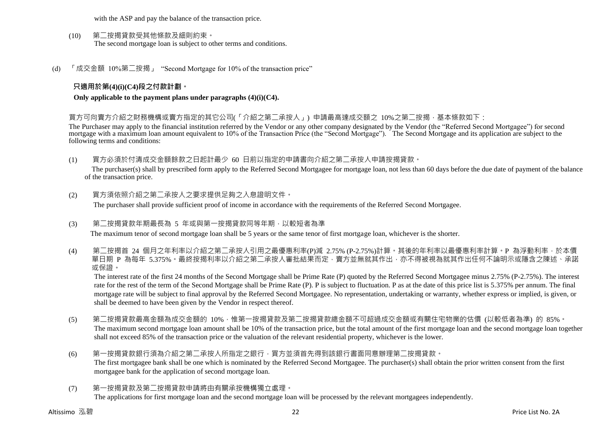with the ASP and pay the balance of the transaction price.

- (10) 第二按揭貸款受其他條款及細則約束。 The second mortgage loan is subject to other terms and conditions.
- (d) 「成交金額 10%第二按揭」 "Second Mortgage for 10% of the transaction price"

#### **只適用於第(4)(i)(C4)段之付款計劃。**

**Only applicable to the payment plans under paragraphs (4)(i)(C4).**

買方可向賣方介紹之財務機構或賣方指定的其它公司(「介紹之第<sup>一</sup>承按人」) 申請最高達成交額之 10%之第<sup>一</sup>按揭,基本條款如下:

The Purchaser may apply to the financial institution referred by the Vendor or any other company designated by the Vendor (the "Referred Second Mortgagee") for second mortgage with a maximum loan amount equivalent to 10% of the Transaction Price (the "Second Mortgage"). The Second Mortgage and its application are subject to the following terms and conditions:

- (1) 買方必須於付清成交金額餘款之日起計最少 60 日前以指定的申請書向介紹之第二承按人申請按揭貸款。 The purchaser(s) shall by prescribed form apply to the Referred Second Mortgagee for mortgage loan, not less than 60 days before the due date of payment of the balance of the transaction price.
- (2) 買方須依照介紹之第二承按人之要求提供足夠之入息證明文件。 The purchaser shall provide sufficient proof of income in accordance with the requirements of the Referred Second Mortgagee.
- (3) 第二按揭貸款年期最長為 5 年或與第一按揭貸款同等年期,以較短者為準 The maximum tenor of second mortgage loan shall be 5 years or the same tenor of first mortgage loan, whichever is the shorter.
- (4) 第二按揭首 24 個月之年利率以介紹之第二承按人引用之最優惠利率(P)減 2.75% (P-2.75%)計算。其後的年利率以最優惠利率計算。P 為浮動利率,於本價 單日期 P 為每年 5.375%。最終按揭利率以介紹之第二承按人審批結果而定,賣方並無就其作出,亦不得被視為就其作出任何不論明示或隱含之陳述、承諾 或保證。

The interest rate of the first 24 months of the Second Mortgage shall be Prime Rate (P) quoted by the Referred Second Mortgagee minus 2.75% (P-2.75%). The interest rate for the rest of the term of the Second Mortgage shall be Prime Rate (P). P is subject to fluctuation. P as at the date of this price list is 5.375% per annum. The final mortgage rate will be subject to final approval by the Referred Second Mortgagee. No representation, undertaking or warranty, whether express or implied, is given, or shall be deemed to have been given by the Vendor in respect thereof.

- (5) 第二按揭貸款最高金額為成交金額的 10%,惟第一按揭貸款及第二按揭貸款總金額不可超過成交金額或有關住宅物業的估價 (以較低者為準) 的 85%。 The maximum second mortgage loan amount shall be 10% of the transaction price, but the total amount of the first mortgage loan and the second mortgage loan together shall not exceed 85% of the transaction price or the valuation of the relevant residential property, whichever is the lower.
- (6) 第一按揭貸款銀行須為介紹之第二承按人所指定之銀行,買方並須首先得到該銀行書面同意辦理第二按揭貸款。 The first mortgagee bank shall be one which is nominated by the Referred Second Mortgagee. The purchaser(s) shall obtain the prior written consent from the first mortgagee bank for the application of second mortgage loan.
- (7) 第一按揭貸款及第二按揭貸款申請將由有關承按機構獨立處理。 The applications for first mortgage loan and the second mortgage loan will be processed by the relevant mortgagees independently.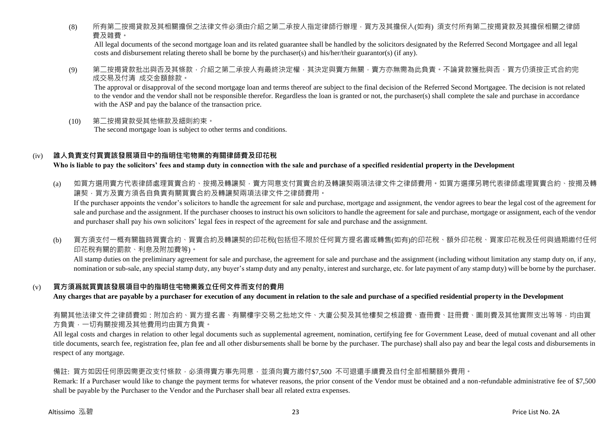(8) 所有第<sup>一</sup>按揭貸款及其相關擔保之法律文件必須由介紹之第<sup>一</sup>承按人指定律師行辦理,買方及其擔保人(如有) 須支付所有第<sup>一</sup>按揭貸款及其擔保相關之律師 費及雜費。

All legal documents of the second mortgage loan and its related guarantee shall be handled by the solicitors designated by the Referred Second Mortgagee and all legal costs and disbursement relating thereto shall be borne by the purchaser(s) and his/her/their guarantor(s) (if any).

(9) 第二按揭貸款批出與否及其條款,介紹之第二承按人有最終決定權,其決定與賣方無關,賣方亦無需為此負責。不論貸款獲批與否,買方仍須按正式合約完 成交易及付清 成交金額餘款。

The approval or disapproval of the second mortgage loan and terms thereof are subject to the final decision of the Referred Second Mortgagee. The decision is not related to the vendor and the vendor shall not be responsible therefor. Regardless the loan is granted or not, the purchaser(s) shall complete the sale and purchase in accordance with the ASP and pay the balance of the transaction price.

(10) 第二按揭貸款受其他條款及細則約束。 The second mortgage loan is subject to other terms and conditions.

#### (iv) **誰人負責支付買賣該發展項目中的指明住宅物業的有關律師費及印花稅**

**Who is liable to pay the solicitors' fees and stamp duty in connection with the sale and purchase of a specified residential property in the Development**

(a) 如買方選用賣方代表律師處理買賣合約、按揭及轉讓契,賣方同意支付買賣合約及轉讓契兩項法律文件之律師費用。如買方選擇另聘代表律師處理買賣合約、按揭及轉 譲契,買方及賣方須各自負責有關買賣合約及轉讓契兩項法律文件之律師費用。

If the purchaser appoints the vendor's solicitors to handle the agreement for sale and purchase, mortgage and assignment, the vendor agrees to bear the legal cost of the agreement for sale and purchase and the assignment. If the purchaser chooses to instruct his own solicitors to handle the agreement for sale and purchase, mortgage or assignment, each of the vendor and purchaser shall pay his own solicitors' legal fees in respect of the agreement for sale and purchase and the assignment.

(b) 買方須支付一概有關臨時買賣合約、買賣合約及轉讓契的印花稅(包括但不限於任何買方提名書或轉售(如有)的印花稅、額外印花稅、買家印花稅及任何與過期繳付任何 印花稅有關的罰款、利息及附加費等)。

All stamp duties on the preliminary agreement for sale and purchase, the agreement for sale and purchase and the assignment (including without limitation any stamp duty on, if any, nomination or sub-sale, any special stamp duty, any buyer's stamp duty and any penalty, interest and surcharge, etc. for late payment of any stamp duty) will be borne by the purchaser.

#### (v) **買方須爲就買賣該發展項目中的指明住宅物業簽立任何文件而支付的費用**

**Any charges that are payable by a purchaser for execution of any document in relation to the sale and purchase of a specified residential property in the Development**

有關其他法律文件之律師費如:附加合約、買方提名書、有關樓宇交易之批地文件、大廈公契及其他樓契之核證費、查冊費、註冊費、圖則費及其他實際支出等等,均由買 方負責,一切有關按揭及其他費用均由買方負責。

All legal costs and charges in relation to other legal documents such as supplemental agreement, nomination, certifying fee for Government Lease, deed of mutual covenant and all other title documents, search fee, registration fee, plan fee and all other disbursements shall be borne by the purchaser. The purchase) shall also pay and bear the legal costs and disbursements in respect of any mortgage.

#### 備註: 買方如因任何原因需更改支付條款,必須得賣方事先同意,並須向賣方繳付\$7,500 不可退還手續費及自付全部相關額外費用。

Remark: If a Purchaser would like to change the payment terms for whatever reasons, the prior consent of the Vendor must be obtained and a non-refundable administrative fee of \$7,500 shall be payable by the Purchaser to the Vendor and the Purchaser shall bear all related extra expenses.